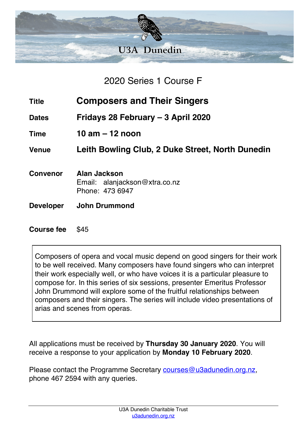

2020 Series 1 Course F

- **Title Composers and Their Singers**
- **Dates Fridays 28 February – 3 April 2020**
- **Time 10 am – 12 noon**

**Venue Leith Bowling Club, 2 Duke Street, North Dunedin**

- **Convenor Alan Jackson** Email: alanjackson@xtra.co.nz Phone: 473 6947
- **Developer John Drummond**

## **Course fee** \$45

Composers of opera and vocal music depend on good singers for their work to be well received. Many composers have found singers who can interpret their work especially well, or who have voices it is a particular pleasure to compose for. In this series of six sessions, presenter Emeritus Professor John Drummond will explore some of the fruitful relationships between composers and their singers. The series will include video presentations of arias and scenes from operas.

All applications must be received by **Thursday 30 January 2020**. You will receive a response to your application by **Monday 10 February 2020**.

Please contact the Programme Secretary courses@u3adunedin.org.nz, phone 467 2594 with any queries.